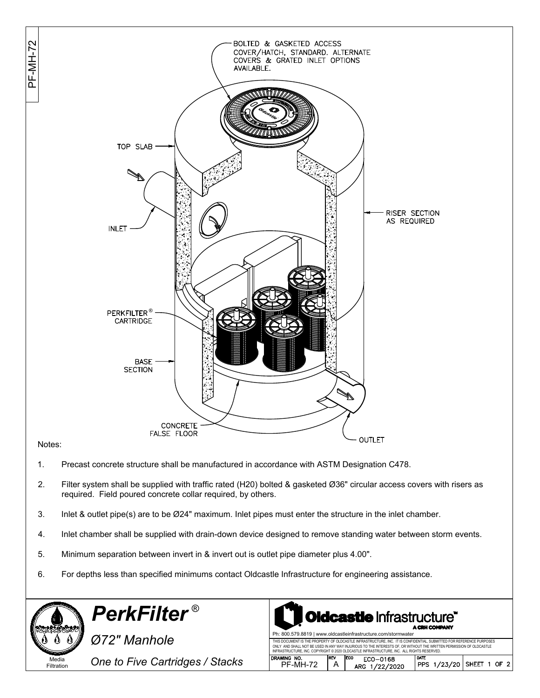